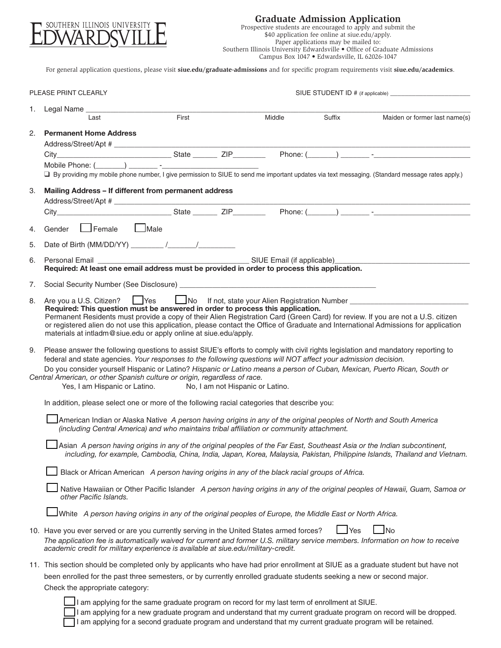

## **Graduate Admission Application**

Prospective students are encouraged to apply and submit the \$40 application fee online at siue.edu/apply. Paper applications may be mailed to: Southern Illinois University Edwardsville • Office of Graduate Admissions Campus Box 1047 • Edwardsville, IL 62026-1047

For general application questions, please visit **siue.edu/graduate-admissions** and for specific program requirements visit **siue.edu/academics**.

|                                                                                                                                                                                                                  | PLEASE PRINT CLEARLY                                                                                                                                                                                                                                                                                                                                                                                                                                            |                                                                                                          |  |        |        |                                                                                                                                                                                                                                                                        |
|------------------------------------------------------------------------------------------------------------------------------------------------------------------------------------------------------------------|-----------------------------------------------------------------------------------------------------------------------------------------------------------------------------------------------------------------------------------------------------------------------------------------------------------------------------------------------------------------------------------------------------------------------------------------------------------------|----------------------------------------------------------------------------------------------------------|--|--------|--------|------------------------------------------------------------------------------------------------------------------------------------------------------------------------------------------------------------------------------------------------------------------------|
| 1.                                                                                                                                                                                                               | Last                                                                                                                                                                                                                                                                                                                                                                                                                                                            | First                                                                                                    |  | Middle | Suffix | Maiden or former last name(s)                                                                                                                                                                                                                                          |
| 2.                                                                                                                                                                                                               | <b>Permanent Home Address</b>                                                                                                                                                                                                                                                                                                                                                                                                                                   |                                                                                                          |  |        |        |                                                                                                                                                                                                                                                                        |
| 3.                                                                                                                                                                                                               | Mailing Address - If different from permanent address                                                                                                                                                                                                                                                                                                                                                                                                           |                                                                                                          |  |        |        | □ By providing my mobile phone number, I give permission to SIUE to send me important updates via text messaging. (Standard message rates apply.)                                                                                                                      |
|                                                                                                                                                                                                                  |                                                                                                                                                                                                                                                                                                                                                                                                                                                                 |                                                                                                          |  |        |        |                                                                                                                                                                                                                                                                        |
| 4.                                                                                                                                                                                                               | Gender Female Male                                                                                                                                                                                                                                                                                                                                                                                                                                              |                                                                                                          |  |        |        |                                                                                                                                                                                                                                                                        |
| 5.                                                                                                                                                                                                               |                                                                                                                                                                                                                                                                                                                                                                                                                                                                 |                                                                                                          |  |        |        |                                                                                                                                                                                                                                                                        |
| 6.                                                                                                                                                                                                               |                                                                                                                                                                                                                                                                                                                                                                                                                                                                 |                                                                                                          |  |        |        |                                                                                                                                                                                                                                                                        |
| 7.                                                                                                                                                                                                               |                                                                                                                                                                                                                                                                                                                                                                                                                                                                 |                                                                                                          |  |        |        |                                                                                                                                                                                                                                                                        |
| 8.                                                                                                                                                                                                               | Are you a U.S. Citizen? Prescure the Mottle of the Mottlen Registration Number<br>Required: This question must be answered in order to process this application.<br>materials at intladm@siue.edu or apply online at siue.edu/apply.                                                                                                                                                                                                                            |                                                                                                          |  |        |        | Permanent Residents must provide a copy of their Alien Registration Card (Green Card) for review. If you are not a U.S. citizen<br>or registered alien do not use this application, please contact the Office of Graduate and International Admissions for application |
|                                                                                                                                                                                                                  | 9. Please answer the following questions to assist SIUE's efforts to comply with civil rights legislation and mandatory reporting to<br>federal and state agencies. Your responses to the following questions will NOT affect your admission decision.<br>Do you consider yourself Hispanic or Latino? Hispanic or Latino means a person of Cuban, Mexican, Puerto Rican, South or<br>Central American, or other Spanish culture or origin, regardless of race. | Yes, I am Hispanic or Latino. No, I am not Hispanic or Latino.                                           |  |        |        |                                                                                                                                                                                                                                                                        |
|                                                                                                                                                                                                                  | In addition, please select one or more of the following racial categories that describe you:                                                                                                                                                                                                                                                                                                                                                                    |                                                                                                          |  |        |        |                                                                                                                                                                                                                                                                        |
| JAmerican Indian or Alaska Native A person having origins in any of the original peoples of North and South America<br>(including Central America) and who maintains tribal affiliation or community attachment. |                                                                                                                                                                                                                                                                                                                                                                                                                                                                 |                                                                                                          |  |        |        |                                                                                                                                                                                                                                                                        |
|                                                                                                                                                                                                                  |                                                                                                                                                                                                                                                                                                                                                                                                                                                                 |                                                                                                          |  |        |        | Asian A person having origins in any of the original peoples of the Far East, Southeast Asia or the Indian subcontinent,<br>including, for example, Cambodia, China, India, Japan, Korea, Malaysia, Pakistan, Philippine Islands, Thailand and Vietnam.                |
|                                                                                                                                                                                                                  |                                                                                                                                                                                                                                                                                                                                                                                                                                                                 | Black or African American A person having origins in any of the black racial groups of Africa.           |  |        |        |                                                                                                                                                                                                                                                                        |
|                                                                                                                                                                                                                  | other Pacific Islands.                                                                                                                                                                                                                                                                                                                                                                                                                                          |                                                                                                          |  |        |        | Native Hawaiian or Other Pacific Islander A person having origins in any of the original peoples of Hawaii, Guam, Samoa or                                                                                                                                             |
|                                                                                                                                                                                                                  |                                                                                                                                                                                                                                                                                                                                                                                                                                                                 | White A person having origins in any of the original peoples of Europe, the Middle East or North Africa. |  |        |        |                                                                                                                                                                                                                                                                        |
|                                                                                                                                                                                                                  | 10. Have you ever served or are you currently serving in the United States armed forces?<br>academic credit for military experience is available at siue.edu/military-credit.                                                                                                                                                                                                                                                                                   |                                                                                                          |  |        | Yes    | No<br>The application fee is automatically waived for current and former U.S. military service members. Information on how to receive                                                                                                                                  |
|                                                                                                                                                                                                                  | been enrolled for the past three semesters, or by currently enrolled graduate students seeking a new or second major.<br>Check the appropriate category:                                                                                                                                                                                                                                                                                                        | If am applying for the same graduate program on record for my last term of enrollment at SILIF           |  |        |        | 11. This section should be completed only by applicants who have had prior enrollment at SIUE as a graduate student but have not                                                                                                                                       |

n applying for the same graduate program on record for my last term of enrollment at SIUE.

I am applying for a new graduate program and understand that my current graduate program on record will be dropped.

I am applying for a second graduate program and understand that my current graduate program will be retained.